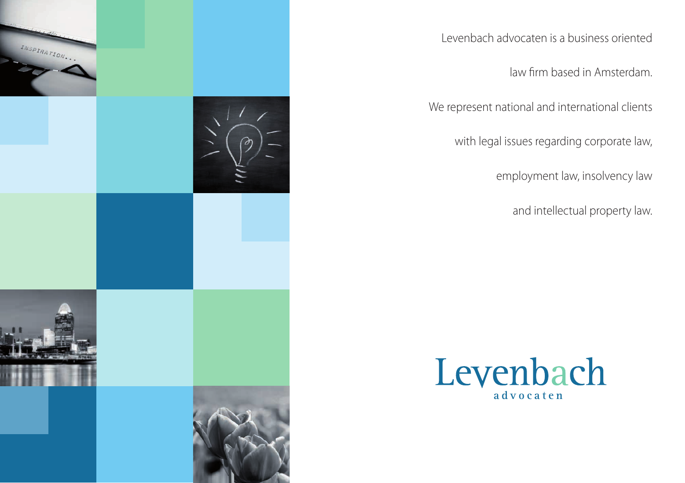

Levenbach advocaten is a business oriented

law firm based in Amsterdam.

We represent national and international clients

with legal issues regarding corporate law,

employment law, insolvency law

and intellectual property law.

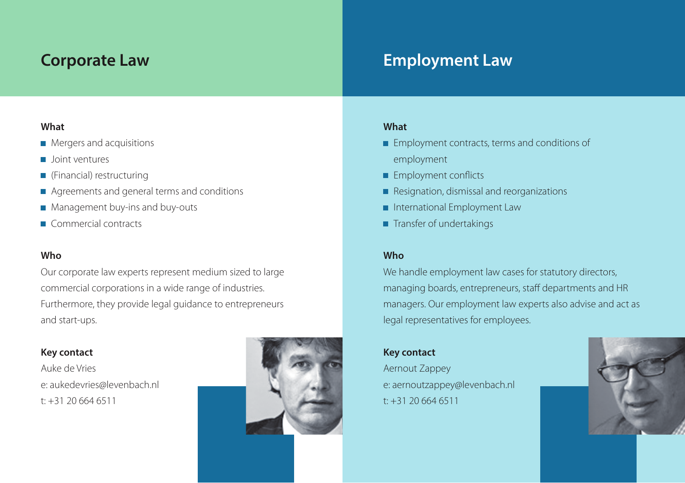### **Corporate Law**

# **Employment Law**

### **What**

- **Mergers and acquisitions**
- **D** Joint ventures
- (Financial) restructuring
- Agreements and general terms and conditions
- **Management buy-ins and buy-outs**
- Commercial contracts

### **Who**

Our corporate law experts represent medium sized to large commercial corporations in a wide range of industries. Furthermore, they provide legal guidance to entrepreneurs and start-ups.

### **Key contact**

Auke de Vries e: aukedevries@levenbach.nl t: +31 20 664 6511



### **What**

- **Employment contracts, terms and conditions of** employment
- **Employment conflicts**
- Resignation, dismissal and reorganizations
- **International Employment Law**
- Transfer of undertakings

### **Who**

We handle employment law cases for statutory directors, managing boards, entrepreneurs, staff departments and HR managers. Our employment law experts also advise and act as legal representatives for employees.

### **Key contact**

Aernout Zappey e: aernoutzappey@levenbach.nl t: +31 20 664 6511

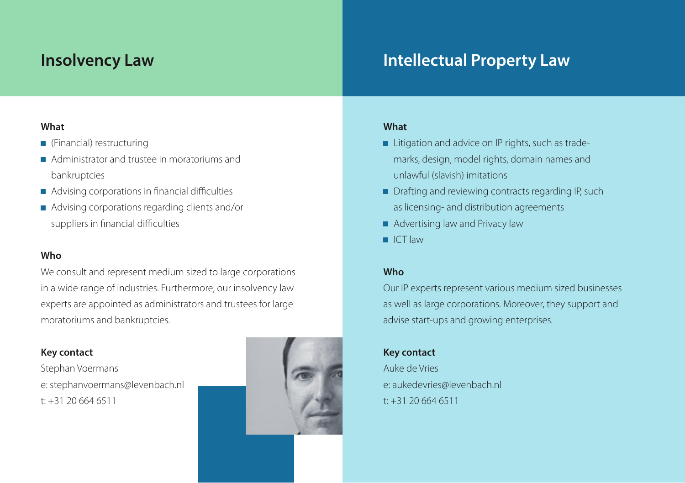## **Insolvency Law**

# **Intellectual Property Law**

### **What**

- (Financial) restructuring
- Administrator and trustee in moratoriums and bankruptcies
- Advising corporations in financial difficulties
- Advising corporations regarding clients and/or suppliers in financial difficulties

### **Who**

We consult and represent medium sized to large corporations in a wide range of industries. Furthermore, our insolvency law experts are appointed as administrators and trustees for large moratoriums and bankruptcies.

### **Key contact**

Stephan Voermans e: stephanvoermans@levenbach.nl t: +31 20 664 6511



### **What**

- Litigation and advice on IP rights, such as trademarks, design, model rights, domain names and unlawful (slavish) imitations
- Drafting and reviewing contracts regarding IP, such as licensing- and distribution agreements
- **Advertising law and Privacy law**
- $ICT$  law

### **Who**

Our IP experts represent various medium sized businesses as well as large corporations. Moreover, they support and advise start-ups and growing enterprises.

### **Key contact**

Auke de Vries e: aukedevries@levenbach.nl  $t: +31, 20, 664, 6511$